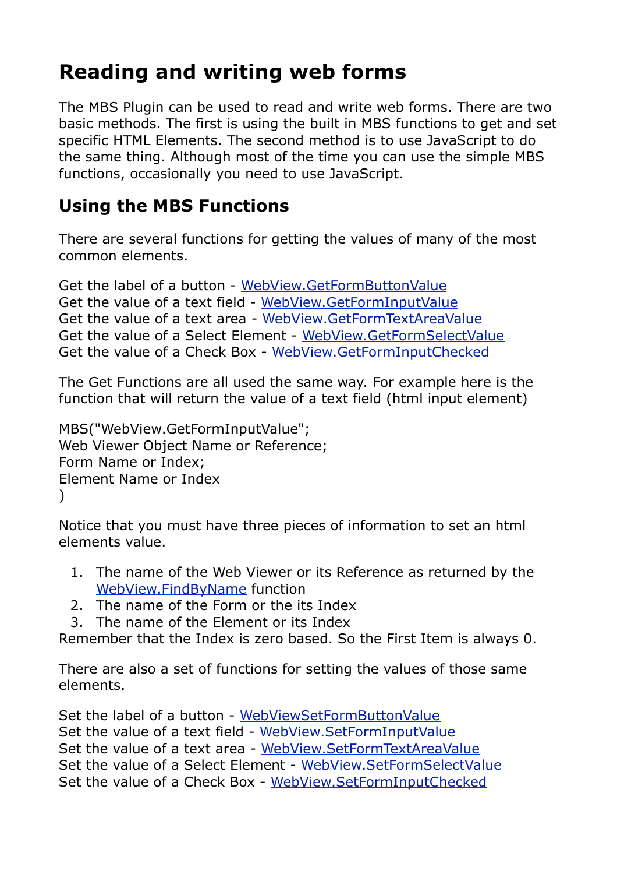## **Reading and writing web forms**

The MBS Plugin can be used to read and write web forms. There are two basic methods. The first is using the built in MBS functions to get and set specific HTML Elements. The second method is to use JavaScript to do the same thing. Although most of the time you can use the simple MBS functions, occasionally you need to use JavaScript.

## **Using the MBS Functions**

There are several functions for getting the values of many of the most common elements.

Get the label of a button - [WebView.GetFormButtonValue](http://www.mbsplugins.eu/WebViewGetFormButtonValue.shtml) Get the value of a text field - [WebView.GetFormInputValue](http://www.mbsplugins.eu/WebViewGetFormInputValue.shtml) Get the value of a text area - [WebView.GetFormTextAreaValue](http://www.mbsplugins.eu/WebViewGetFormTextAreaValue.shtml) Get the value of a Select Element - [WebView.GetFormSelectValue](http://www.mbsplugins.eu/WebViewGetFormSelectValue.shtml) Get the value of a Check Box - [WebView.GetFormInputChecked](http://www.mbsplugins.eu/WebViewGetFormInputChecked.shtml)

The Get Functions are all used the same way. For example here is the function that will return the value of a text field (html input element)

MBS("WebView.GetFormInputValue"; Web Viewer Object Name or Reference; Form Name or Index; Element Name or Index )

Notice that you must have three pieces of information to set an html elements value.

- 1. The name of the Web Viewer or its Reference as returned by the [WebView.FindByName](http://www.mbsplugins.eu/WebViewFindByName.shtml) function
- 2. The name of the Form or the its Index
- 3. The name of the Element or its Index

Remember that the Index is zero based. So the First Item is always 0.

There are also a set of functions for setting the values of those same elements.

Set the label of a button - [WebViewSetFormButtonValue](http://www.mbsplugins.eu/WebViewSetFormButtonValue.shtml) Set the value of a text field - [WebView.SetFormInputValue](http://www.mbsplugins.eu/WebViewSetFormInputValue.shtml) Set the value of a text area - [WebView.SetFormTextAreaValue](http://www.mbsplugins.eu/WebViewSetFormTextAreaValue.shtml) Set the value of a Select Element - [WebView.SetFormSelectValue](http://www.mbsplugins.eu/WebViewSetFormSelectValue.shtml) Set the value of a Check Box - [WebView.SetFormInputChecked](http://www.mbsplugins.eu/WebViewSetFormInputChecked.shtml)